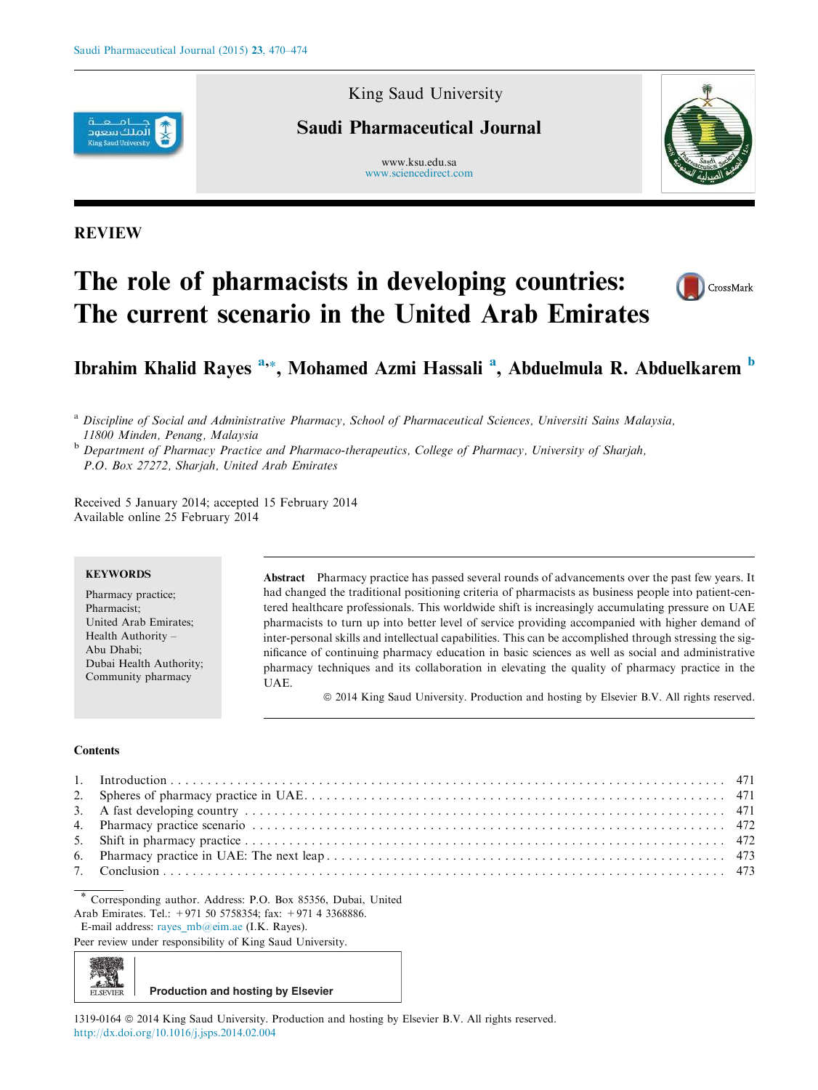

## King Saud University

## Saudi Pharmaceutical Journal

www.ksu.edu.sa www.sciencedirect.com



### REVIEW

# The role of pharmacists in developing countries: The current scenario in the United Arab Emirates



## Ibrahim Khalid Rayes <sup>a,</sup>\*, Mohamed Azmi Hassali <sup>a</sup>, Abduelmula R. Abduelkarem <sup>b</sup>

<sup>a</sup> Discipline of Social and Administrative Pharmacy, School of Pharmaceutical Sciences, Universiti Sains Malaysia, 11800 Minden, Penang, Malaysia

**b** Department of Pharmacy Practice and Pharmaco-therapeutics, College of Pharmacy, University of Sharjah, P.O. Box 27272, Sharjah, United Arab Emirates

Received 5 January 2014; accepted 15 February 2014 Available online 25 February 2014

#### **KEYWORDS**

Pharmacy practice; Pharmacist; United Arab Emirates; Health Authority – Abu Dhabi; Dubai Health Authority; Community pharmacy

Abstract Pharmacy practice has passed several rounds of advancements over the past few years. It had changed the traditional positioning criteria of pharmacists as business people into patient-centered healthcare professionals. This worldwide shift is increasingly accumulating pressure on UAE pharmacists to turn up into better level of service providing accompanied with higher demand of inter-personal skills and intellectual capabilities. This can be accomplished through stressing the significance of continuing pharmacy education in basic sciences as well as social and administrative pharmacy techniques and its collaboration in elevating the quality of pharmacy practice in the UAE.

ª 2014 King Saud University. Production and hosting by Elsevier B.V. All rights reserved.

#### **Contents**

ELSEVIER

\* Corresponding author. Address: P.O. Box 85356, Dubai, United Arab Emirates. Tel.: +971 50 5758354; fax: +971 4 3368886. E-mail address: rayes mb@eim.ae (I.K. Rayes).

Peer review under responsibility of King Saud University.

**Production and hosting by Elsevier**

1319-0164 ª 2014 King Saud University. Production and hosting by Elsevier B.V. All rights reserved. http://dx.doi.org/10.1016/j.jsps.2014.02.004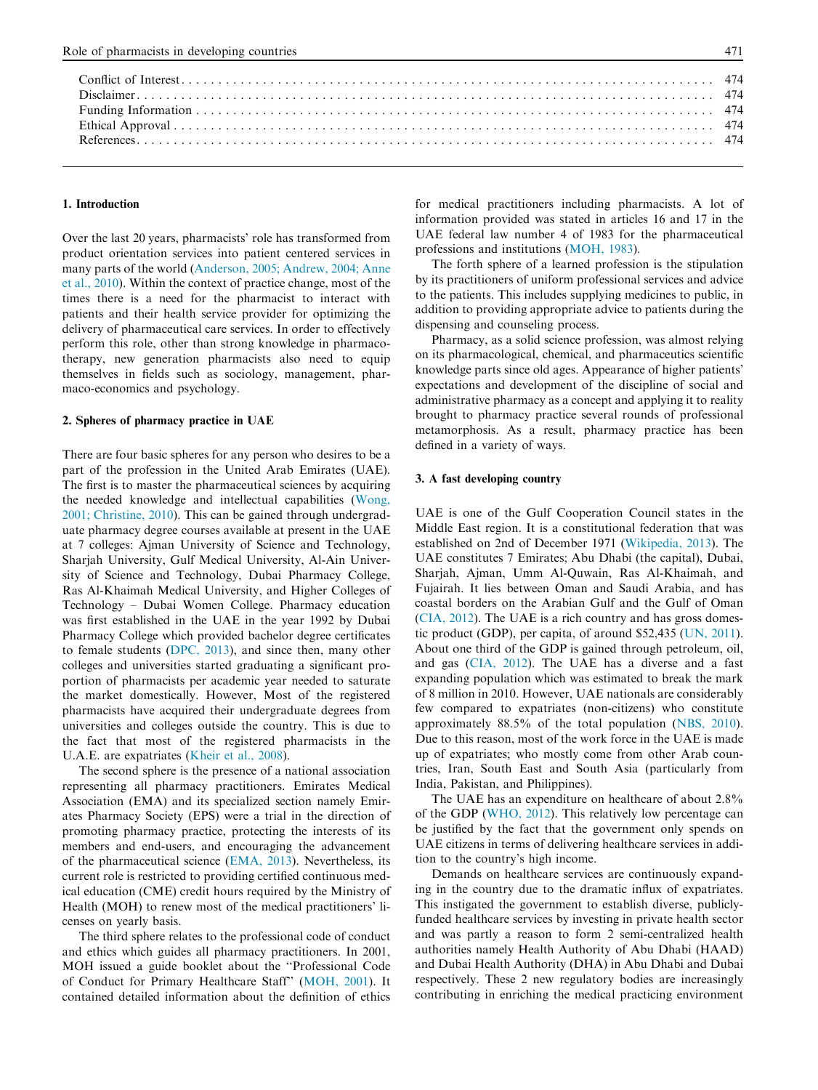#### 1. Introduction

Over the last 20 years, pharmacists' role has transformed from product orientation services into patient centered services in many parts of the world (Anderson, 2005; Andrew, 2004; Anne et al., 2010). Within the context of practice change, most of the times there is a need for the pharmacist to interact with patients and their health service provider for optimizing the delivery of pharmaceutical care services. In order to effectively perform this role, other than strong knowledge in pharmacotherapy, new generation pharmacists also need to equip themselves in fields such as sociology, management, pharmaco-economics and psychology.

#### 2. Spheres of pharmacy practice in UAE

There are four basic spheres for any person who desires to be a part of the profession in the United Arab Emirates (UAE). The first is to master the pharmaceutical sciences by acquiring the needed knowledge and intellectual capabilities (Wong, 2001; Christine, 2010). This can be gained through undergraduate pharmacy degree courses available at present in the UAE at 7 colleges: Ajman University of Science and Technology, Sharjah University, Gulf Medical University, Al-Ain University of Science and Technology, Dubai Pharmacy College, Ras Al-Khaimah Medical University, and Higher Colleges of Technology – Dubai Women College. Pharmacy education was first established in the UAE in the year 1992 by Dubai Pharmacy College which provided bachelor degree certificates to female students (DPC, 2013), and since then, many other colleges and universities started graduating a significant proportion of pharmacists per academic year needed to saturate the market domestically. However, Most of the registered pharmacists have acquired their undergraduate degrees from universities and colleges outside the country. This is due to the fact that most of the registered pharmacists in the U.A.E. are expatriates (Kheir et al., 2008).

The second sphere is the presence of a national association representing all pharmacy practitioners. Emirates Medical Association (EMA) and its specialized section namely Emirates Pharmacy Society (EPS) were a trial in the direction of promoting pharmacy practice, protecting the interests of its members and end-users, and encouraging the advancement of the pharmaceutical science (EMA, 2013). Nevertheless, its current role is restricted to providing certified continuous medical education (CME) credit hours required by the Ministry of Health (MOH) to renew most of the medical practitioners' licenses on yearly basis.

The third sphere relates to the professional code of conduct and ethics which guides all pharmacy practitioners. In 2001, MOH issued a guide booklet about the ''Professional Code of Conduct for Primary Healthcare Staff'' (MOH, 2001). It contained detailed information about the definition of ethics for medical practitioners including pharmacists. A lot of information provided was stated in articles 16 and 17 in the UAE federal law number 4 of 1983 for the pharmaceutical professions and institutions (MOH, 1983).

The forth sphere of a learned profession is the stipulation by its practitioners of uniform professional services and advice to the patients. This includes supplying medicines to public, in addition to providing appropriate advice to patients during the dispensing and counseling process.

Pharmacy, as a solid science profession, was almost relying on its pharmacological, chemical, and pharmaceutics scientific knowledge parts since old ages. Appearance of higher patients' expectations and development of the discipline of social and administrative pharmacy as a concept and applying it to reality brought to pharmacy practice several rounds of professional metamorphosis. As a result, pharmacy practice has been defined in a variety of ways.

#### 3. A fast developing country

UAE is one of the Gulf Cooperation Council states in the Middle East region. It is a constitutional federation that was established on 2nd of December 1971 (Wikipedia, 2013). The UAE constitutes 7 Emirates; Abu Dhabi (the capital), Dubai, Sharjah, Ajman, Umm Al-Quwain, Ras Al-Khaimah, and Fujairah. It lies between Oman and Saudi Arabia, and has coastal borders on the Arabian Gulf and the Gulf of Oman (CIA, 2012). The UAE is a rich country and has gross domestic product (GDP), per capita, of around \$52,435 (UN, 2011). About one third of the GDP is gained through petroleum, oil, and gas (CIA, 2012). The UAE has a diverse and a fast expanding population which was estimated to break the mark of 8 million in 2010. However, UAE nationals are considerably few compared to expatriates (non-citizens) who constitute approximately 88.5% of the total population (NBS, 2010). Due to this reason, most of the work force in the UAE is made up of expatriates; who mostly come from other Arab countries, Iran, South East and South Asia (particularly from India, Pakistan, and Philippines).

The UAE has an expenditure on healthcare of about 2.8% of the GDP (WHO, 2012). This relatively low percentage can be justified by the fact that the government only spends on UAE citizens in terms of delivering healthcare services in addition to the country's high income.

Demands on healthcare services are continuously expanding in the country due to the dramatic influx of expatriates. This instigated the government to establish diverse, publiclyfunded healthcare services by investing in private health sector and was partly a reason to form 2 semi-centralized health authorities namely Health Authority of Abu Dhabi (HAAD) and Dubai Health Authority (DHA) in Abu Dhabi and Dubai respectively. These 2 new regulatory bodies are increasingly contributing in enriching the medical practicing environment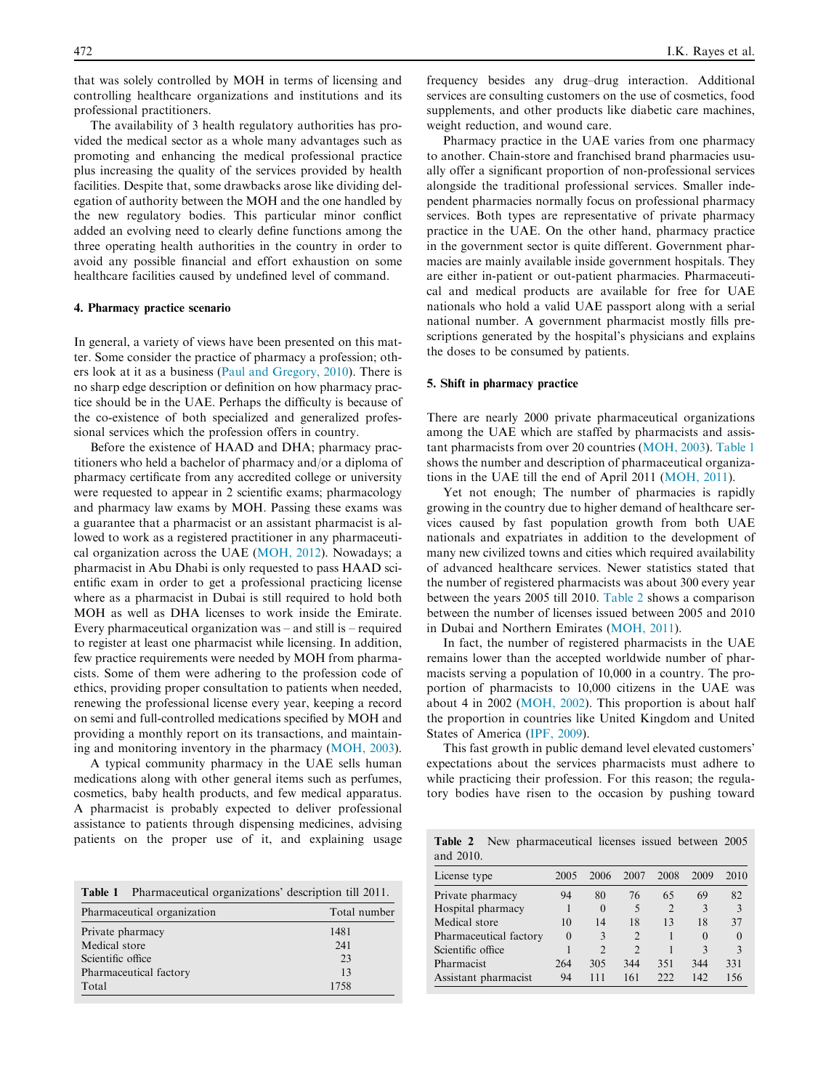that was solely controlled by MOH in terms of licensing and controlling healthcare organizations and institutions and its professional practitioners.

The availability of 3 health regulatory authorities has provided the medical sector as a whole many advantages such as promoting and enhancing the medical professional practice plus increasing the quality of the services provided by health facilities. Despite that, some drawbacks arose like dividing delegation of authority between the MOH and the one handled by the new regulatory bodies. This particular minor conflict added an evolving need to clearly define functions among the three operating health authorities in the country in order to avoid any possible financial and effort exhaustion on some healthcare facilities caused by undefined level of command.

#### 4. Pharmacy practice scenario

In general, a variety of views have been presented on this matter. Some consider the practice of pharmacy a profession; others look at it as a business (Paul and Gregory, 2010). There is no sharp edge description or definition on how pharmacy practice should be in the UAE. Perhaps the difficulty is because of the co-existence of both specialized and generalized professional services which the profession offers in country.

Before the existence of HAAD and DHA; pharmacy practitioners who held a bachelor of pharmacy and/or a diploma of pharmacy certificate from any accredited college or university were requested to appear in 2 scientific exams; pharmacology and pharmacy law exams by MOH. Passing these exams was a guarantee that a pharmacist or an assistant pharmacist is allowed to work as a registered practitioner in any pharmaceutical organization across the UAE (MOH, 2012). Nowadays; a pharmacist in Abu Dhabi is only requested to pass HAAD scientific exam in order to get a professional practicing license where as a pharmacist in Dubai is still required to hold both MOH as well as DHA licenses to work inside the Emirate. Every pharmaceutical organization was – and still is – required to register at least one pharmacist while licensing. In addition, few practice requirements were needed by MOH from pharmacists. Some of them were adhering to the profession code of ethics, providing proper consultation to patients when needed, renewing the professional license every year, keeping a record on semi and full-controlled medications specified by MOH and providing a monthly report on its transactions, and maintaining and monitoring inventory in the pharmacy (MOH, 2003).

A typical community pharmacy in the UAE sells human medications along with other general items such as perfumes, cosmetics, baby health products, and few medical apparatus. A pharmacist is probably expected to deliver professional assistance to patients through dispensing medicines, advising patients on the proper use of it, and explaining usage

| <b>Table 1</b> Pharmaceutical organizations' description till 2011. |              |  |  |  |  |
|---------------------------------------------------------------------|--------------|--|--|--|--|
| Pharmaceutical organization                                         | Total number |  |  |  |  |
| Private pharmacy                                                    | 1481         |  |  |  |  |
| Medical store                                                       | 241          |  |  |  |  |
| Scientific office                                                   | 23           |  |  |  |  |
| Pharmaceutical factory                                              | 13           |  |  |  |  |
| Total                                                               | 1758         |  |  |  |  |

frequency besides any drug–drug interaction. Additional services are consulting customers on the use of cosmetics, food supplements, and other products like diabetic care machines, weight reduction, and wound care.

Pharmacy practice in the UAE varies from one pharmacy to another. Chain-store and franchised brand pharmacies usually offer a significant proportion of non-professional services alongside the traditional professional services. Smaller independent pharmacies normally focus on professional pharmacy services. Both types are representative of private pharmacy practice in the UAE. On the other hand, pharmacy practice in the government sector is quite different. Government pharmacies are mainly available inside government hospitals. They are either in-patient or out-patient pharmacies. Pharmaceutical and medical products are available for free for UAE nationals who hold a valid UAE passport along with a serial national number. A government pharmacist mostly fills prescriptions generated by the hospital's physicians and explains the doses to be consumed by patients.

#### 5. Shift in pharmacy practice

There are nearly 2000 private pharmaceutical organizations among the UAE which are staffed by pharmacists and assistant pharmacists from over 20 countries (MOH, 2003). Table 1 shows the number and description of pharmaceutical organizations in the UAE till the end of April 2011 (MOH, 2011).

Yet not enough; The number of pharmacies is rapidly growing in the country due to higher demand of healthcare services caused by fast population growth from both UAE nationals and expatriates in addition to the development of many new civilized towns and cities which required availability of advanced healthcare services. Newer statistics stated that the number of registered pharmacists was about 300 every year between the years 2005 till 2010. Table 2 shows a comparison between the number of licenses issued between 2005 and 2010 in Dubai and Northern Emirates (MOH, 2011).

In fact, the number of registered pharmacists in the UAE remains lower than the accepted worldwide number of pharmacists serving a population of 10,000 in a country. The proportion of pharmacists to 10,000 citizens in the UAE was about 4 in 2002 (MOH, 2002). This proportion is about half the proportion in countries like United Kingdom and United States of America (IPF, 2009).

This fast growth in public demand level elevated customers' expectations about the services pharmacists must adhere to while practicing their profession. For this reason; the regulatory bodies have risen to the occasion by pushing toward

|           | <b>Table 2</b> New pharmaceutical licenses issued between 2005 |  |  |
|-----------|----------------------------------------------------------------|--|--|
| and 2010. |                                                                |  |  |

| License type           | 2005     | 2006          | 2007           | 2008           | 2009     | 2010          |
|------------------------|----------|---------------|----------------|----------------|----------|---------------|
| Private pharmacy       | 94       | 80            | 76             | 65             | 69       | 82            |
| Hospital pharmacy      |          | $\theta$      | 5              | $\overline{2}$ | 3        | 3             |
| Medical store          | 10       | 14            | 18             | 13             | 18       | 37            |
| Pharmaceutical factory | $\theta$ | 3             | $\overline{2}$ |                | $\theta$ | $\theta$      |
| Scientific office      |          | $\mathcal{D}$ | $\overline{2}$ |                | 3        | $\mathcal{E}$ |
| Pharmacist             | 264      | 305           | 344            | 351            | 344      | 331           |
| Assistant pharmacist   | 94       | 111           | 161            | 222            | 142      | 156           |
|                        |          |               |                |                |          |               |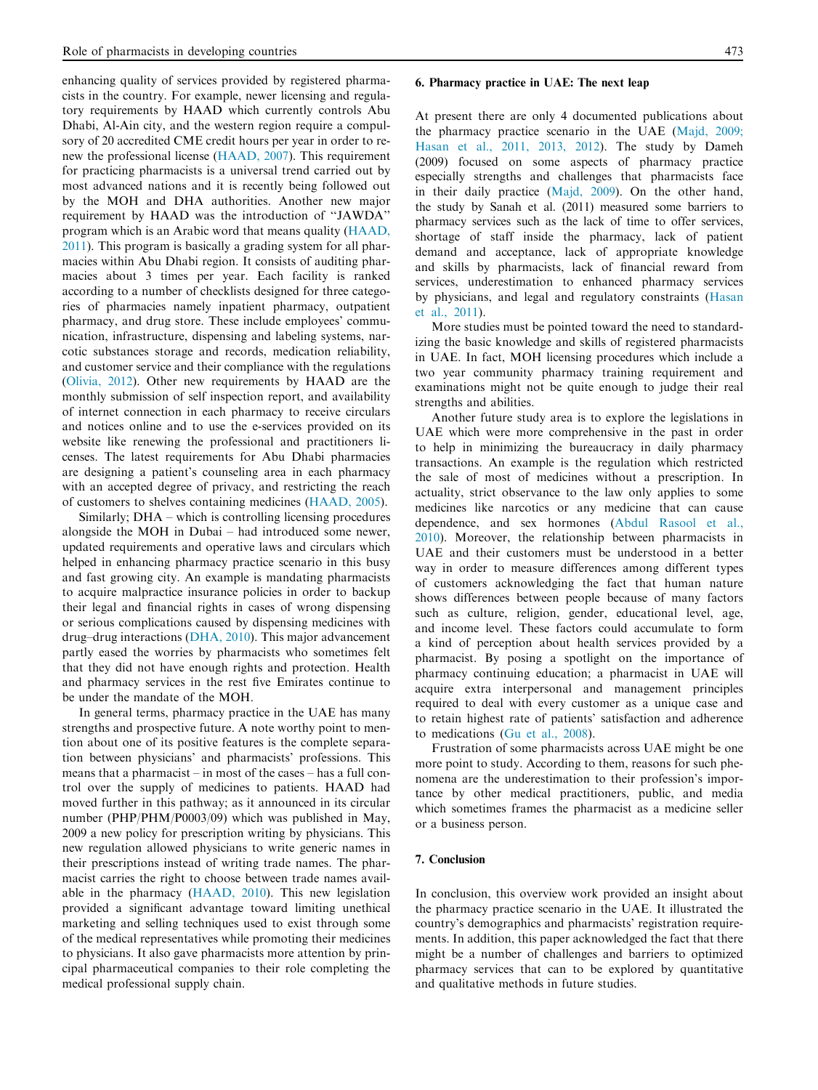enhancing quality of services provided by registered pharmacists in the country. For example, newer licensing and regulatory requirements by HAAD which currently controls Abu Dhabi, Al-Ain city, and the western region require a compulsory of 20 accredited CME credit hours per year in order to renew the professional license (HAAD, 2007). This requirement for practicing pharmacists is a universal trend carried out by most advanced nations and it is recently being followed out by the MOH and DHA authorities. Another new major requirement by HAAD was the introduction of ''JAWDA'' program which is an Arabic word that means quality (HAAD, 2011). This program is basically a grading system for all pharmacies within Abu Dhabi region. It consists of auditing pharmacies about 3 times per year. Each facility is ranked according to a number of checklists designed for three categories of pharmacies namely inpatient pharmacy, outpatient pharmacy, and drug store. These include employees' communication, infrastructure, dispensing and labeling systems, narcotic substances storage and records, medication reliability, and customer service and their compliance with the regulations (Olivia, 2012). Other new requirements by HAAD are the monthly submission of self inspection report, and availability of internet connection in each pharmacy to receive circulars and notices online and to use the e-services provided on its website like renewing the professional and practitioners licenses. The latest requirements for Abu Dhabi pharmacies are designing a patient's counseling area in each pharmacy with an accepted degree of privacy, and restricting the reach of customers to shelves containing medicines (HAAD, 2005).

Similarly; DHA – which is controlling licensing procedures alongside the MOH in Dubai – had introduced some newer, updated requirements and operative laws and circulars which helped in enhancing pharmacy practice scenario in this busy and fast growing city. An example is mandating pharmacists to acquire malpractice insurance policies in order to backup their legal and financial rights in cases of wrong dispensing or serious complications caused by dispensing medicines with drug–drug interactions (DHA, 2010). This major advancement partly eased the worries by pharmacists who sometimes felt that they did not have enough rights and protection. Health and pharmacy services in the rest five Emirates continue to be under the mandate of the MOH.

In general terms, pharmacy practice in the UAE has many strengths and prospective future. A note worthy point to mention about one of its positive features is the complete separation between physicians' and pharmacists' professions. This means that a pharmacist – in most of the cases – has a full control over the supply of medicines to patients. HAAD had moved further in this pathway; as it announced in its circular number (PHP/PHM/P0003/09) which was published in May, 2009 a new policy for prescription writing by physicians. This new regulation allowed physicians to write generic names in their prescriptions instead of writing trade names. The pharmacist carries the right to choose between trade names available in the pharmacy (HAAD, 2010). This new legislation provided a significant advantage toward limiting unethical marketing and selling techniques used to exist through some of the medical representatives while promoting their medicines to physicians. It also gave pharmacists more attention by principal pharmaceutical companies to their role completing the medical professional supply chain.

#### 6. Pharmacy practice in UAE: The next leap

At present there are only 4 documented publications about the pharmacy practice scenario in the UAE (Majd, 2009; Hasan et al., 2011, 2013, 2012). The study by Dameh (2009) focused on some aspects of pharmacy practice especially strengths and challenges that pharmacists face in their daily practice (Majd, 2009). On the other hand, the study by Sanah et al. (2011) measured some barriers to pharmacy services such as the lack of time to offer services, shortage of staff inside the pharmacy, lack of patient demand and acceptance, lack of appropriate knowledge and skills by pharmacists, lack of financial reward from services, underestimation to enhanced pharmacy services by physicians, and legal and regulatory constraints (Hasan et al., 2011).

More studies must be pointed toward the need to standardizing the basic knowledge and skills of registered pharmacists in UAE. In fact, MOH licensing procedures which include a two year community pharmacy training requirement and examinations might not be quite enough to judge their real strengths and abilities.

Another future study area is to explore the legislations in UAE which were more comprehensive in the past in order to help in minimizing the bureaucracy in daily pharmacy transactions. An example is the regulation which restricted the sale of most of medicines without a prescription. In actuality, strict observance to the law only applies to some medicines like narcotics or any medicine that can cause dependence, and sex hormones (Abdul Rasool et al., 2010). Moreover, the relationship between pharmacists in UAE and their customers must be understood in a better way in order to measure differences among different types of customers acknowledging the fact that human nature shows differences between people because of many factors such as culture, religion, gender, educational level, age, and income level. These factors could accumulate to form a kind of perception about health services provided by a pharmacist. By posing a spotlight on the importance of pharmacy continuing education; a pharmacist in UAE will acquire extra interpersonal and management principles required to deal with every customer as a unique case and to retain highest rate of patients' satisfaction and adherence to medications (Gu et al., 2008).

Frustration of some pharmacists across UAE might be one more point to study. According to them, reasons for such phenomena are the underestimation to their profession's importance by other medical practitioners, public, and media which sometimes frames the pharmacist as a medicine seller or a business person.

#### 7. Conclusion

In conclusion, this overview work provided an insight about the pharmacy practice scenario in the UAE. It illustrated the country's demographics and pharmacists' registration requirements. In addition, this paper acknowledged the fact that there might be a number of challenges and barriers to optimized pharmacy services that can to be explored by quantitative and qualitative methods in future studies.